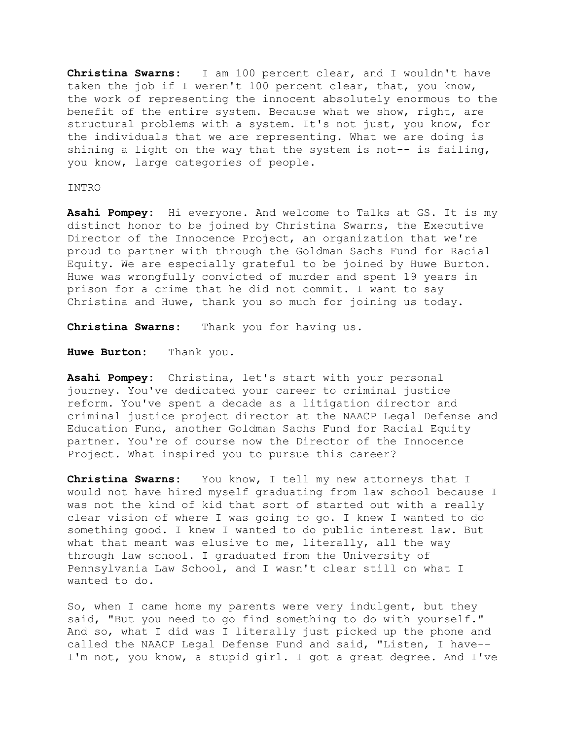**Christina Swarns:** I am 100 percent clear, and I wouldn't have taken the job if I weren't 100 percent clear, that, you know, the work of representing the innocent absolutely enormous to the benefit of the entire system. Because what we show, right, are structural problems with a system. It's not just, you know, for the individuals that we are representing. What we are doing is shining a light on the way that the system is not-- is failing, you know, large categories of people.

## INTRO

**Asahi Pompey:** Hi everyone. And welcome to Talks at GS. It is my distinct honor to be joined by Christina Swarns, the Executive Director of the Innocence Project, an organization that we're proud to partner with through the Goldman Sachs Fund for Racial Equity. We are especially grateful to be joined by Huwe Burton. Huwe was wrongfully convicted of murder and spent 19 years in prison for a crime that he did not commit. I want to say Christina and Huwe, thank you so much for joining us today.

**Christina Swarns:** Thank you for having us.

**Huwe Burton:** Thank you.

**Asahi Pompey:** Christina, let's start with your personal journey. You've dedicated your career to criminal justice reform. You've spent a decade as a litigation director and criminal justice project director at the NAACP Legal Defense and Education Fund, another Goldman Sachs Fund for Racial Equity partner. You're of course now the Director of the Innocence Project. What inspired you to pursue this career?

**Christina Swarns:** You know, I tell my new attorneys that I would not have hired myself graduating from law school because I was not the kind of kid that sort of started out with a really clear vision of where I was going to go. I knew I wanted to do something good. I knew I wanted to do public interest law. But what that meant was elusive to me, literally, all the way through law school. I graduated from the University of Pennsylvania Law School, and I wasn't clear still on what I wanted to do.

So, when I came home my parents were very indulgent, but they said, "But you need to go find something to do with yourself." And so, what I did was I literally just picked up the phone and called the NAACP Legal Defense Fund and said, "Listen, I have-- I'm not, you know, a stupid girl. I got a great degree. And I've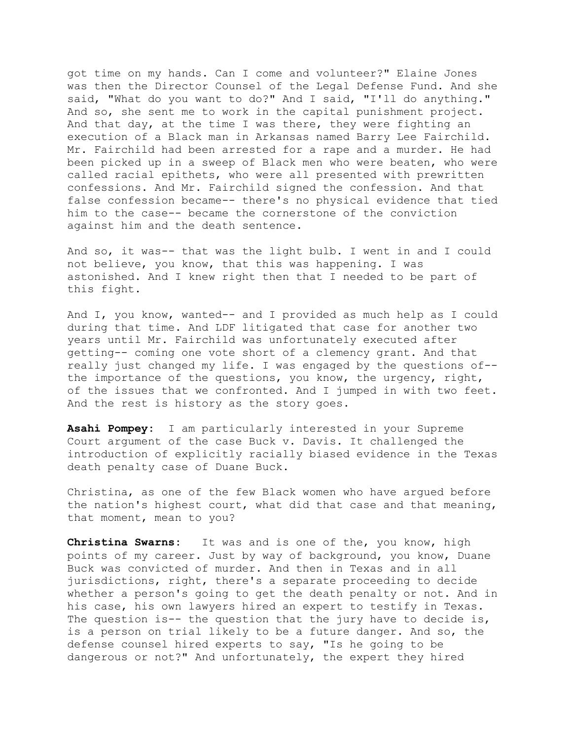got time on my hands. Can I come and volunteer?" Elaine Jones was then the Director Counsel of the Legal Defense Fund. And she said, "What do you want to do?" And I said, "I'll do anything." And so, she sent me to work in the capital punishment project. And that day, at the time I was there, they were fighting an execution of a Black man in Arkansas named Barry Lee Fairchild. Mr. Fairchild had been arrested for a rape and a murder. He had been picked up in a sweep of Black men who were beaten, who were called racial epithets, who were all presented with prewritten confessions. And Mr. Fairchild signed the confession. And that false confession became-- there's no physical evidence that tied him to the case-- became the cornerstone of the conviction against him and the death sentence.

And so, it was-- that was the light bulb. I went in and I could not believe, you know, that this was happening. I was astonished. And I knew right then that I needed to be part of this fight.

And I, you know, wanted-- and I provided as much help as I could during that time. And LDF litigated that case for another two years until Mr. Fairchild was unfortunately executed after getting-- coming one vote short of a clemency grant. And that really just changed my life. I was engaged by the questions of- the importance of the questions, you know, the urgency, right, of the issues that we confronted. And I jumped in with two feet. And the rest is history as the story goes.

**Asahi Pompey:** I am particularly interested in your Supreme Court argument of the case Buck v. Davis. It challenged the introduction of explicitly racially biased evidence in the Texas death penalty case of Duane Buck.

Christina, as one of the few Black women who have argued before the nation's highest court, what did that case and that meaning, that moment, mean to you?

**Christina Swarns:** It was and is one of the, you know, high points of my career. Just by way of background, you know, Duane Buck was convicted of murder. And then in Texas and in all jurisdictions, right, there's a separate proceeding to decide whether a person's going to get the death penalty or not. And in his case, his own lawyers hired an expert to testify in Texas. The question is-- the question that the jury have to decide is, is a person on trial likely to be a future danger. And so, the defense counsel hired experts to say, "Is he going to be dangerous or not?" And unfortunately, the expert they hired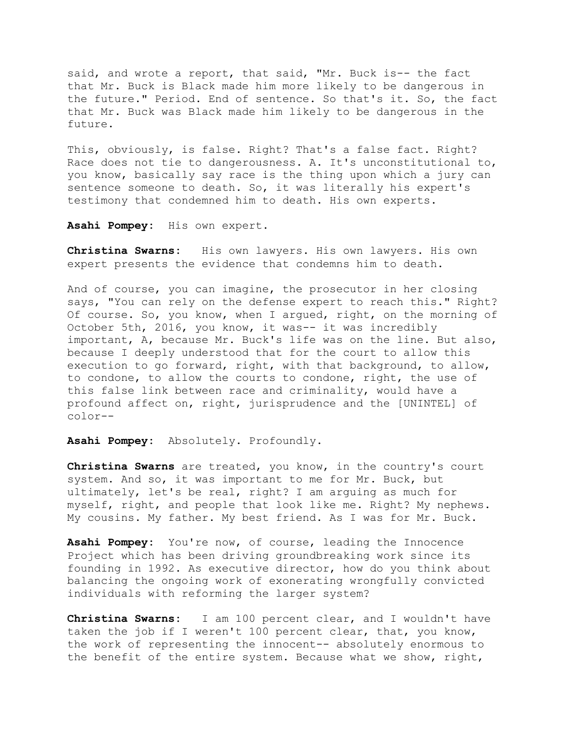said, and wrote a report, that said, "Mr. Buck is-- the fact that Mr. Buck is Black made him more likely to be dangerous in the future." Period. End of sentence. So that's it. So, the fact that Mr. Buck was Black made him likely to be dangerous in the future.

This, obviously, is false. Right? That's a false fact. Right? Race does not tie to dangerousness. A. It's unconstitutional to, you know, basically say race is the thing upon which a jury can sentence someone to death. So, it was literally his expert's testimony that condemned him to death. His own experts.

**Asahi Pompey:** His own expert.

**Christina Swarns:** His own lawyers. His own lawyers. His own expert presents the evidence that condemns him to death.

And of course, you can imagine, the prosecutor in her closing says, "You can rely on the defense expert to reach this." Right? Of course. So, you know, when I argued, right, on the morning of October 5th, 2016, you know, it was-- it was incredibly important, A, because Mr. Buck's life was on the line. But also, because I deeply understood that for the court to allow this execution to go forward, right, with that background, to allow, to condone, to allow the courts to condone, right, the use of this false link between race and criminality, would have a profound affect on, right, jurisprudence and the [UNINTEL] of color--

**Asahi Pompey:** Absolutely. Profoundly.

**Christina Swarns** are treated, you know, in the country's court system. And so, it was important to me for Mr. Buck, but ultimately, let's be real, right? I am arguing as much for myself, right, and people that look like me. Right? My nephews. My cousins. My father. My best friend. As I was for Mr. Buck.

**Asahi Pompey:** You're now, of course, leading the Innocence Project which has been driving groundbreaking work since its founding in 1992. As executive director, how do you think about balancing the ongoing work of exonerating wrongfully convicted individuals with reforming the larger system?

**Christina Swarns:** I am 100 percent clear, and I wouldn't have taken the job if I weren't 100 percent clear, that, you know, the work of representing the innocent-- absolutely enormous to the benefit of the entire system. Because what we show, right,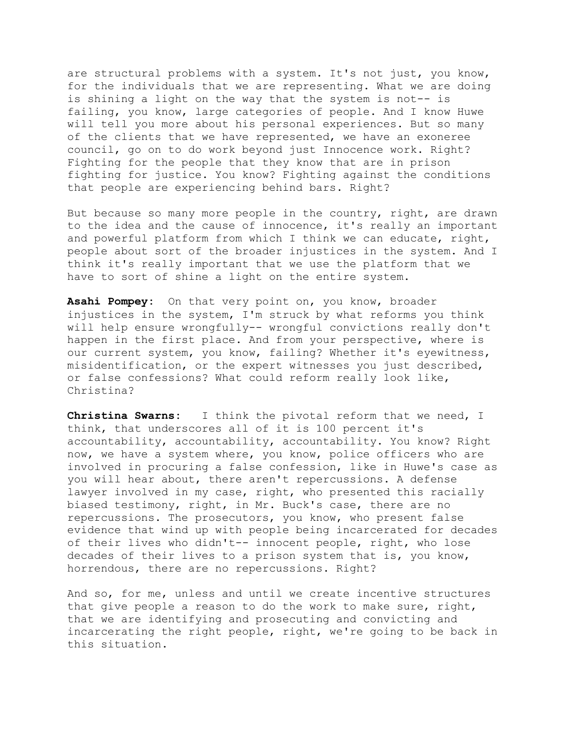are structural problems with a system. It's not just, you know, for the individuals that we are representing. What we are doing is shining a light on the way that the system is not-- is failing, you know, large categories of people. And I know Huwe will tell you more about his personal experiences. But so many of the clients that we have represented, we have an exoneree council, go on to do work beyond just Innocence work. Right? Fighting for the people that they know that are in prison fighting for justice. You know? Fighting against the conditions that people are experiencing behind bars. Right?

But because so many more people in the country, right, are drawn to the idea and the cause of innocence, it's really an important and powerful platform from which I think we can educate, right, people about sort of the broader injustices in the system. And I think it's really important that we use the platform that we have to sort of shine a light on the entire system.

**Asahi Pompey:** On that very point on, you know, broader injustices in the system, I'm struck by what reforms you think will help ensure wrongfully-- wrongful convictions really don't happen in the first place. And from your perspective, where is our current system, you know, failing? Whether it's eyewitness, misidentification, or the expert witnesses you just described, or false confessions? What could reform really look like, Christina?

**Christina Swarns:** I think the pivotal reform that we need, I think, that underscores all of it is 100 percent it's accountability, accountability, accountability. You know? Right now, we have a system where, you know, police officers who are involved in procuring a false confession, like in Huwe's case as you will hear about, there aren't repercussions. A defense lawyer involved in my case, right, who presented this racially biased testimony, right, in Mr. Buck's case, there are no repercussions. The prosecutors, you know, who present false evidence that wind up with people being incarcerated for decades of their lives who didn't-- innocent people, right, who lose decades of their lives to a prison system that is, you know, horrendous, there are no repercussions. Right?

And so, for me, unless and until we create incentive structures that give people a reason to do the work to make sure, right, that we are identifying and prosecuting and convicting and incarcerating the right people, right, we're going to be back in this situation.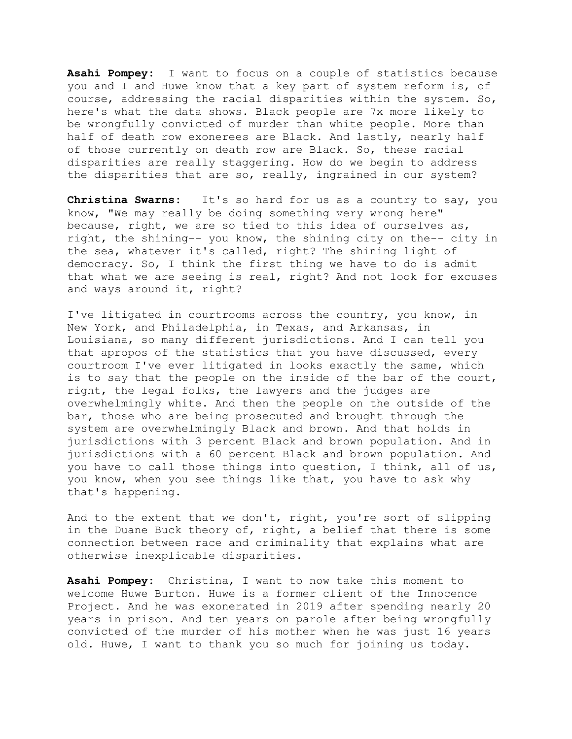**Asahi Pompey:** I want to focus on a couple of statistics because you and I and Huwe know that a key part of system reform is, of course, addressing the racial disparities within the system. So, here's what the data shows. Black people are 7x more likely to be wrongfully convicted of murder than white people. More than half of death row exonerees are Black. And lastly, nearly half of those currently on death row are Black. So, these racial disparities are really staggering. How do we begin to address the disparities that are so, really, ingrained in our system?

**Christina Swarns:** It's so hard for us as a country to say, you know, "We may really be doing something very wrong here" because, right, we are so tied to this idea of ourselves as, right, the shining-- you know, the shining city on the-- city in the sea, whatever it's called, right? The shining light of democracy. So, I think the first thing we have to do is admit that what we are seeing is real, right? And not look for excuses and ways around it, right?

I've litigated in courtrooms across the country, you know, in New York, and Philadelphia, in Texas, and Arkansas, in Louisiana, so many different jurisdictions. And I can tell you that apropos of the statistics that you have discussed, every courtroom I've ever litigated in looks exactly the same, which is to say that the people on the inside of the bar of the court, right, the legal folks, the lawyers and the judges are overwhelmingly white. And then the people on the outside of the bar, those who are being prosecuted and brought through the system are overwhelmingly Black and brown. And that holds in jurisdictions with 3 percent Black and brown population. And in jurisdictions with a 60 percent Black and brown population. And you have to call those things into question, I think, all of us, you know, when you see things like that, you have to ask why that's happening.

And to the extent that we don't, right, you're sort of slipping in the Duane Buck theory of, right, a belief that there is some connection between race and criminality that explains what are otherwise inexplicable disparities.

**Asahi Pompey:** Christina, I want to now take this moment to welcome Huwe Burton. Huwe is a former client of the Innocence Project. And he was exonerated in 2019 after spending nearly 20 years in prison. And ten years on parole after being wrongfully convicted of the murder of his mother when he was just 16 years old. Huwe, I want to thank you so much for joining us today.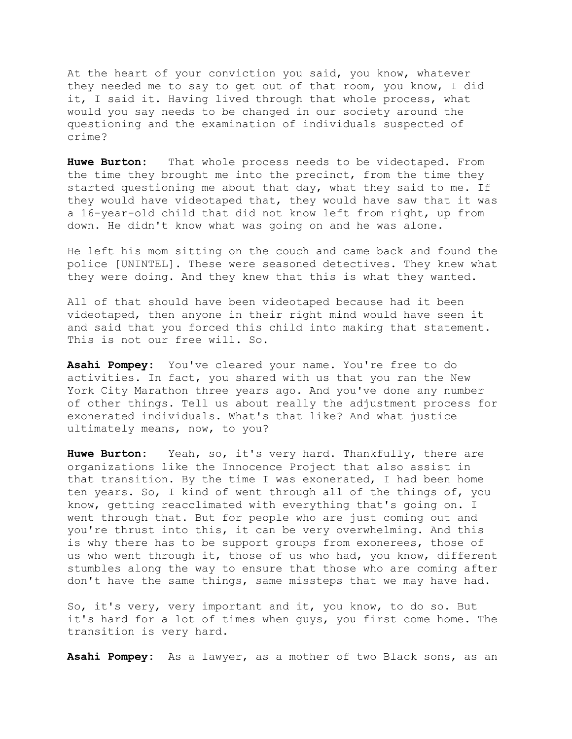At the heart of your conviction you said, you know, whatever they needed me to say to get out of that room, you know, I did it, I said it. Having lived through that whole process, what would you say needs to be changed in our society around the questioning and the examination of individuals suspected of crime?

**Huwe Burton:** That whole process needs to be videotaped. From the time they brought me into the precinct, from the time they started questioning me about that day, what they said to me. If they would have videotaped that, they would have saw that it was a 16-year-old child that did not know left from right, up from down. He didn't know what was going on and he was alone.

He left his mom sitting on the couch and came back and found the police [UNINTEL]. These were seasoned detectives. They knew what they were doing. And they knew that this is what they wanted.

All of that should have been videotaped because had it been videotaped, then anyone in their right mind would have seen it and said that you forced this child into making that statement. This is not our free will. So.

**Asahi Pompey:** You've cleared your name. You're free to do activities. In fact, you shared with us that you ran the New York City Marathon three years ago. And you've done any number of other things. Tell us about really the adjustment process for exonerated individuals. What's that like? And what justice ultimately means, now, to you?

**Huwe Burton:** Yeah, so, it's very hard. Thankfully, there are organizations like the Innocence Project that also assist in that transition. By the time I was exonerated, I had been home ten years. So, I kind of went through all of the things of, you know, getting reacclimated with everything that's going on. I went through that. But for people who are just coming out and you're thrust into this, it can be very overwhelming. And this is why there has to be support groups from exonerees, those of us who went through it, those of us who had, you know, different stumbles along the way to ensure that those who are coming after don't have the same things, same missteps that we may have had.

So, it's very, very important and it, you know, to do so. But it's hard for a lot of times when guys, you first come home. The transition is very hard.

**Asahi Pompey:** As a lawyer, as a mother of two Black sons, as an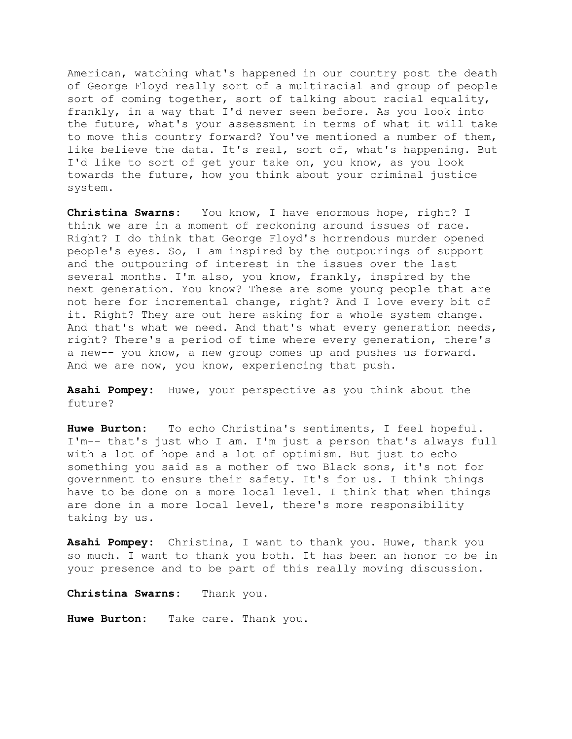American, watching what's happened in our country post the death of George Floyd really sort of a multiracial and group of people sort of coming together, sort of talking about racial equality, frankly, in a way that I'd never seen before. As you look into the future, what's your assessment in terms of what it will take to move this country forward? You've mentioned a number of them, like believe the data. It's real, sort of, what's happening. But I'd like to sort of get your take on, you know, as you look towards the future, how you think about your criminal justice system.

**Christina Swarns:** You know, I have enormous hope, right? I think we are in a moment of reckoning around issues of race. Right? I do think that George Floyd's horrendous murder opened people's eyes. So, I am inspired by the outpourings of support and the outpouring of interest in the issues over the last several months. I'm also, you know, frankly, inspired by the next generation. You know? These are some young people that are not here for incremental change, right? And I love every bit of it. Right? They are out here asking for a whole system change. And that's what we need. And that's what every generation needs, right? There's a period of time where every generation, there's a new-- you know, a new group comes up and pushes us forward. And we are now, you know, experiencing that push.

**Asahi Pompey:** Huwe, your perspective as you think about the future?

**Huwe Burton:** To echo Christina's sentiments, I feel hopeful. I'm-- that's just who I am. I'm just a person that's always full with a lot of hope and a lot of optimism. But just to echo something you said as a mother of two Black sons, it's not for government to ensure their safety. It's for us. I think things have to be done on a more local level. I think that when things are done in a more local level, there's more responsibility taking by us.

**Asahi Pompey:** Christina, I want to thank you. Huwe, thank you so much. I want to thank you both. It has been an honor to be in your presence and to be part of this really moving discussion.

**Christina Swarns:** Thank you.

**Huwe Burton:** Take care. Thank you.